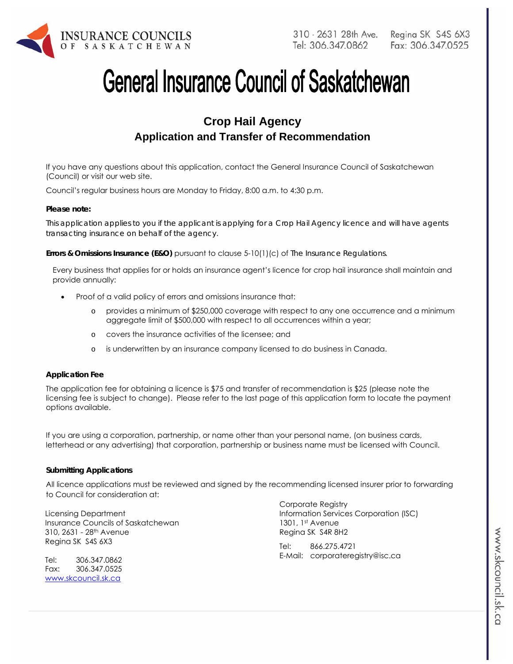

# **General Insurance Council of Saskatchewan**

# **Crop Hail Agency Application and Transfer of Recommendation**

If you have any questions about this application, contact the General Insurance Council of Saskatchewan (Council) or visit our web site.

Council's regular business hours are Monday to Friday, 8:00 a.m. to 4:30 p.m.

### *Please note:*

*This application applies to you if the applicant is applying for a Crop Hail Agency licence and will have agents transacting insurance on behalf of the agency.* 

**Errors & Omissions Insurance (E&O)** pursuant to clause 5-10(1)(c) of *The Insurance Regulations.* 

Every business that applies for or holds an insurance agent's licence for crop hail insurance shall maintain and provide annually:

- Proof of a valid policy of errors and omissions insurance that:
	- provides a minimum of \$250,000 coverage with respect to any one occurrence and a minimum aggregate limit of \$500,000 with respect to all occurrences within a year;
	- o covers the insurance activities of the licensee; and
	- o is underwritten by an insurance company licensed to do business in Canada.

#### **Application Fee**

The application fee for obtaining a licence is \$75 and transfer of recommendation is \$25 (please note the licensing fee is subject to change). Please refer to the last page of this application form to locate the payment options available.

If you are using a corporation, partnership, or name other than your personal name, (on business cards, letterhead or any advertising) that corporation, partnership or business name must be licensed with Council.

#### **Submitting Applications**

All licence applications must be reviewed and signed by the recommending licensed insurer prior to forwarding to Council for consideration at:

Licensing Department Insurance Councils of Saskatchewan 310, 2631 - 28th Avenue Regina SK S4S 6X3

Tel: 306.347.0862 Fax: 306.347.0525 www.skcouncil.sk.ca

Corporate Registry Information Services Corporation (ISC) 1301, 1st Avenue Regina SK S4R 8H2

Tel: 866.275.4721 E-Mail: corporateregistry@isc.ca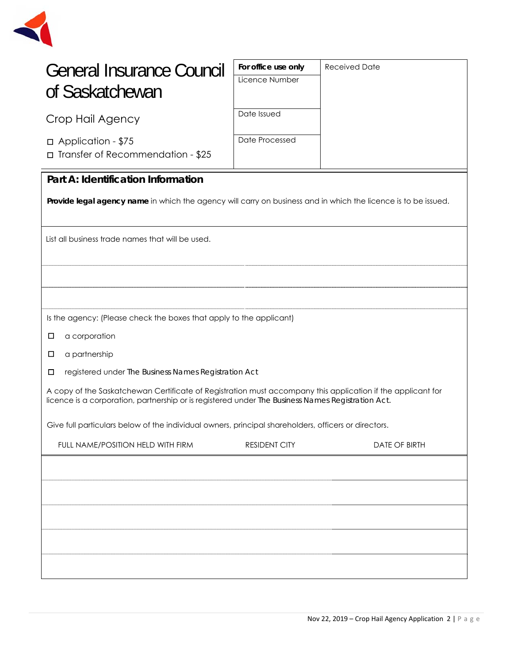

| General Insurance Council<br>of Saskatchewan                                                                                                                                                                     | For office use only<br>Licence Number | <b>Received Date</b> |  |
|------------------------------------------------------------------------------------------------------------------------------------------------------------------------------------------------------------------|---------------------------------------|----------------------|--|
| Crop Hail Agency                                                                                                                                                                                                 | Date Issued                           |                      |  |
| □ Application - \$75<br>□ Transfer of Recommendation - \$25                                                                                                                                                      | Date Processed                        |                      |  |
| Part A: Identification Information                                                                                                                                                                               |                                       |                      |  |
| Provide legal agency name in which the agency will carry on business and in which the licence is to be issued.                                                                                                   |                                       |                      |  |
| List all business trade names that will be used.                                                                                                                                                                 |                                       |                      |  |
|                                                                                                                                                                                                                  |                                       |                      |  |
|                                                                                                                                                                                                                  |                                       |                      |  |
| Is the agency: (Please check the boxes that apply to the applicant)                                                                                                                                              |                                       |                      |  |
| a corporation<br>□                                                                                                                                                                                               |                                       |                      |  |
| a partnership<br>$\Box$                                                                                                                                                                                          |                                       |                      |  |
| □<br>registered under The Business Names Registration Act                                                                                                                                                        |                                       |                      |  |
| A copy of the Saskatchewan Certificate of Registration must accompany this application if the applicant for<br>licence is a corporation, partnership or is registered under The Business Names Registration Act. |                                       |                      |  |
| Give full particulars below of the individual owners, principal shareholders, officers or directors.                                                                                                             |                                       |                      |  |
| FULL NAME/POSITION HELD WITH FIRM                                                                                                                                                                                | RESIDENT CITY                         | <b>DATE OF BIRTH</b> |  |
|                                                                                                                                                                                                                  |                                       |                      |  |
|                                                                                                                                                                                                                  |                                       |                      |  |
|                                                                                                                                                                                                                  |                                       |                      |  |
|                                                                                                                                                                                                                  |                                       |                      |  |
|                                                                                                                                                                                                                  |                                       |                      |  |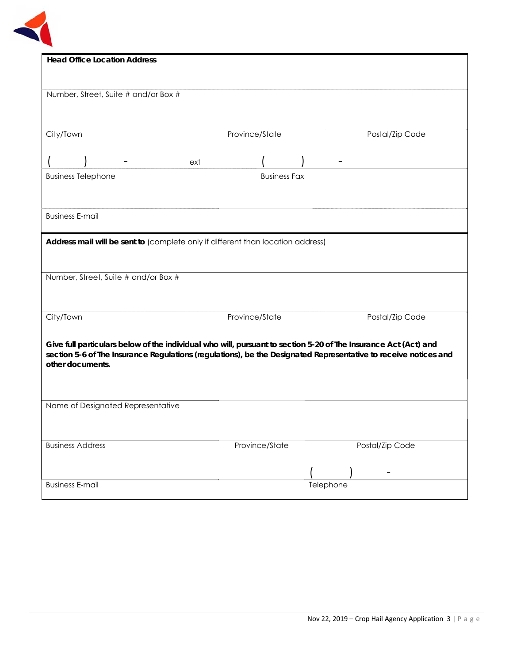

| <b>Head Office Location Address</b>                                                                                                 |                     |                 |
|-------------------------------------------------------------------------------------------------------------------------------------|---------------------|-----------------|
|                                                                                                                                     |                     |                 |
| Number, Street, Suite # and/or Box #                                                                                                |                     |                 |
|                                                                                                                                     |                     |                 |
| City/Town                                                                                                                           | Province/State      | Postal/Zip Code |
| ext                                                                                                                                 |                     |                 |
| <b>Business Telephone</b>                                                                                                           | <b>Business Fax</b> |                 |
|                                                                                                                                     |                     |                 |
| <b>Business E-mail</b>                                                                                                              |                     |                 |
| Address mail will be sent to (complete only if different than location address)                                                     |                     |                 |
|                                                                                                                                     |                     |                 |
| Number, Street, Suite # and/or Box #                                                                                                |                     |                 |
|                                                                                                                                     |                     |                 |
|                                                                                                                                     |                     |                 |
| City/Town                                                                                                                           | Province/State      | Postal/Zip Code |
| Give full particulars below of the individual who will, pursuant to section 5-20 of The Insurance Act (Act) and                     |                     |                 |
| section 5-6 of The Insurance Regulations (regulations), be the Designated Representative to receive notices and<br>other documents. |                     |                 |
|                                                                                                                                     |                     |                 |
|                                                                                                                                     |                     |                 |
|                                                                                                                                     |                     |                 |
| Name of Designated Representative                                                                                                   |                     |                 |
|                                                                                                                                     |                     |                 |
| <b>Business Address</b>                                                                                                             | Province/State      | Postal/Zip Code |
|                                                                                                                                     |                     |                 |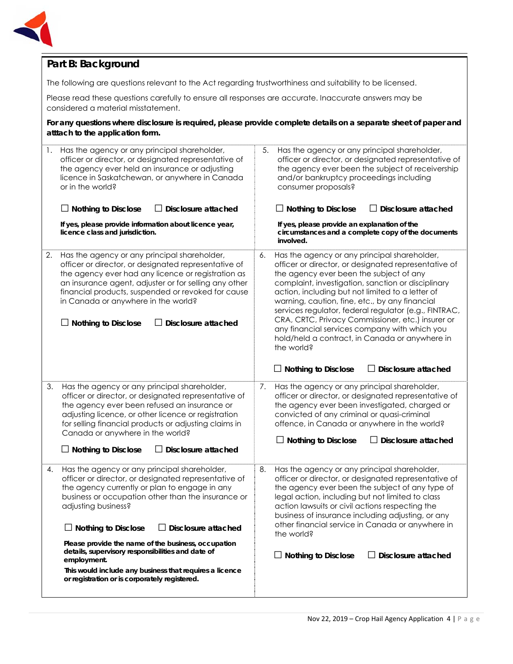

# **Part B: Background**

The following are questions relevant to the Act regarding trustworthiness and suitability to be licensed.

Please read these questions carefully to ensure all responses are accurate. Inaccurate answers may be considered a material misstatement.

**For any questions where disclosure is required, please provide complete details on a separate sheet of paper and atttach to the application form.**

| 1. | Has the agency or any principal shareholder,<br>officer or director, or designated representative of<br>the agency ever held an insurance or adjusting<br>licence in Saskatchewan, or anywhere in Canada<br>or in the world?<br>$\Box$ Nothing to Disclose<br><b>Disclosure attached</b><br>If yes, please provide information about licence year,<br>licence class and jurisdiction.                                                                                                                                                    | 5.<br>Has the agency or any principal shareholder,<br>officer or director, or designated representative of<br>the agency ever been the subject of receivership<br>and/or bankruptcy proceedings including<br>consumer proposals?<br>$\Box$ Nothing to Disclose<br>Disclosure attached<br>ΙI<br>If yes, please provide an explanation of the<br>circumstances and a complete copy of the documents<br>involved.                                                                                                                                                                                               |
|----|------------------------------------------------------------------------------------------------------------------------------------------------------------------------------------------------------------------------------------------------------------------------------------------------------------------------------------------------------------------------------------------------------------------------------------------------------------------------------------------------------------------------------------------|--------------------------------------------------------------------------------------------------------------------------------------------------------------------------------------------------------------------------------------------------------------------------------------------------------------------------------------------------------------------------------------------------------------------------------------------------------------------------------------------------------------------------------------------------------------------------------------------------------------|
| 2. | Has the agency or any principal shareholder,<br>officer or director, or designated representative of<br>the agency ever had any licence or registration as<br>an insurance agent, adjuster or for selling any other<br>financial products, suspended or revoked for cause<br>in Canada or anywhere in the world?<br><b>Nothing to Disclose</b><br>Disclosure attached                                                                                                                                                                    | Has the agency or any principal shareholder,<br>6.<br>officer or director, or designated representative of<br>the agency ever been the subject of any<br>complaint, investigation, sanction or disciplinary<br>action, including but not limited to a letter of<br>warning, caution, fine, etc., by any financial<br>services regulator, federal regulator (e.g., FINTRAC,<br>CRA, CRTC, Privacy Commissioner, etc.) insurer or<br>any financial services company with which you<br>hold/held a contract, in Canada or anywhere in<br>the world?<br>$\Box$ Disclosure attached<br>$\Box$ Nothing to Disclose |
| 3. | Has the agency or any principal shareholder,<br>officer or director, or designated representative of<br>the agency ever been refused an insurance or<br>adjusting licence, or other licence or registration<br>for selling financial products or adjusting claims in<br>Canada or anywhere in the world?<br>$\Box$ Nothing to Disclose<br><b>Disclosure attached</b>                                                                                                                                                                     | Has the agency or any principal shareholder,<br>7.<br>officer or director, or designated representative of<br>the agency ever been investigated, charged or<br>convicted of any criminal or quasi-criminal<br>offence, in Canada or anywhere in the world?<br>$\Box$ Nothing to Disclose<br>Disclosure attached                                                                                                                                                                                                                                                                                              |
| 4. | Has the agency or any principal shareholder,<br>officer or director, or designated representative of<br>the agency currently or plan to engage in any<br>business or occupation other than the insurance or<br>adjusting business?<br>Disclosure attached<br>$\Box$ Nothing to Disclose<br>$\Box$<br>Please provide the name of the business, occupation<br>details, supervisory responsibilities and date of<br>employment.<br>This would include any business that requires a licence<br>or registration or is corporately registered. | Has the agency or any principal shareholder,<br>8.<br>officer or director, or designated representative of<br>the agency ever been the subject of any type of<br>legal action, including but not limited to class<br>action lawsuits or civil actions respecting the<br>business of insurance including adjusting, or any<br>other financial service in Canada or anywhere in<br>the world?<br>$\Box$ Nothing to Disclose<br>$\Box$ Disclosure attached                                                                                                                                                      |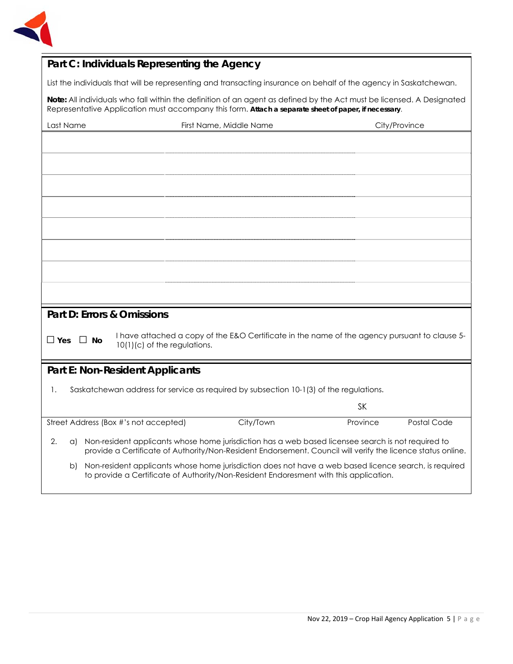

# **Part C: Individuals Representing the Agency**

List the individuals that will be representing and transacting insurance on behalf of the agency in Saskatchewan.

**Note:** All individuals who fall within the definition of an agent as defined by the Act must be licensed. A Designated Representative Application must accompany this form. **Attach a separate sheet of paper, if necessary**.

| Last Name            | First Name, Middle Name<br>City/Province                                                                                                                                                                          |                         |
|----------------------|-------------------------------------------------------------------------------------------------------------------------------------------------------------------------------------------------------------------|-------------------------|
|                      |                                                                                                                                                                                                                   |                         |
|                      |                                                                                                                                                                                                                   |                         |
|                      |                                                                                                                                                                                                                   |                         |
|                      |                                                                                                                                                                                                                   |                         |
|                      |                                                                                                                                                                                                                   |                         |
|                      |                                                                                                                                                                                                                   |                         |
|                      |                                                                                                                                                                                                                   |                         |
|                      |                                                                                                                                                                                                                   |                         |
|                      |                                                                                                                                                                                                                   |                         |
|                      |                                                                                                                                                                                                                   |                         |
|                      |                                                                                                                                                                                                                   |                         |
|                      |                                                                                                                                                                                                                   |                         |
|                      |                                                                                                                                                                                                                   |                         |
|                      | Part D: Errors & Omissions                                                                                                                                                                                        |                         |
|                      | I have attached a copy of the E&O Certificate in the name of the agency pursuant to clause 5-                                                                                                                     |                         |
| $\Box$ Yes $\Box$ No | 10(1)(c) of the regulations.                                                                                                                                                                                      |                         |
|                      |                                                                                                                                                                                                                   |                         |
|                      | <b>Part E: Non-Resident Applicants</b>                                                                                                                                                                            |                         |
| 1.                   | Saskatchewan address for service as required by subsection 10-1(3) of the regulations.                                                                                                                            |                         |
|                      |                                                                                                                                                                                                                   |                         |
|                      |                                                                                                                                                                                                                   | <b>SK</b>               |
|                      | City/Town<br>Street Address (Box #'s not accepted)                                                                                                                                                                | Postal Code<br>Province |
| 2.<br>a)             | Non-resident applicants whose home jurisdiction has a web based licensee search is not required to<br>provide a Certificate of Authority/Non-Resident Endorsement. Council will verify the licence status online. |                         |
| b)                   | Non-resident applicants whose home jurisdiction does not have a web based licence search, is required<br>to provide a Certificate of Authority/Non-Resident Endoresment with this application.                    |                         |
|                      |                                                                                                                                                                                                                   |                         |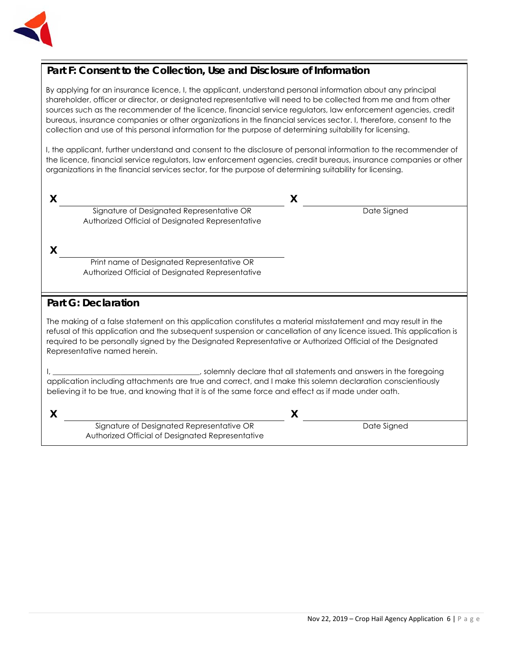

# **Part F: Consent to the Collection, Use and Disclosure of Information**

By applying for an insurance licence, I, the applicant, understand personal information about any principal shareholder, officer or director, or designated representative will need to be collected from me and from other sources such as the recommender of the licence, financial service regulators, law enforcement agencies, credit bureaus, insurance companies or other organizations in the financial services sector. I, therefore, consent to the collection and use of this personal information for the purpose of determining suitability for licensing.

I, the applicant, further understand and consent to the disclosure of personal information to the recommender of the licence, financial service regulators, law enforcement agencies, credit bureaus, insurance companies or other organizations in the financial services sector, for the purpose of determining suitability for licensing.

## **X X**  Signature of Designated Representative OR Authorized Official of Designated Representative

**Date Signed** 

**X**

Print name of Designated Representative OR Authorized Official of Designated Representative

## **Part G: Declaration**

The making of a false statement on this application constitutes a material misstatement and may result in the refusal of this application and the subsequent suspension or cancellation of any licence issued. This application is required to be personally signed by the Designated Representative or Authorized Official of the Designated Representative named herein.

I, \_\_\_\_\_\_\_\_\_\_\_\_\_\_\_\_\_\_\_\_\_\_\_\_\_\_\_\_\_\_\_\_\_\_\_\_\_\_\_, solemnly declare that all statements and answers in the foregoing application including attachments are true and correct, and I make this solemn declaration conscientiously believing it to be true, and knowing that it is of the same force and effect as if made under oath.

| Signature of Designated Representative OR        |  | Date Signed |
|--------------------------------------------------|--|-------------|
| Authorized Official of Designated Representative |  |             |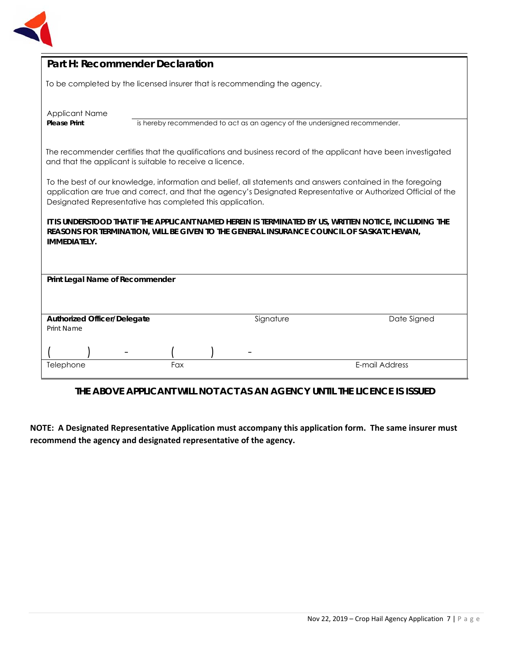

| Part H: Recommender Declaration                                                                                                                                                                                                                                                             |     |                                                                           |                |
|---------------------------------------------------------------------------------------------------------------------------------------------------------------------------------------------------------------------------------------------------------------------------------------------|-----|---------------------------------------------------------------------------|----------------|
| To be completed by the licensed insurer that is recommending the agency.                                                                                                                                                                                                                    |     |                                                                           |                |
| <b>Applicant Name</b><br><b>Please Print</b>                                                                                                                                                                                                                                                |     | is hereby recommended to act as an agency of the undersigned recommender. |                |
| The recommender certifies that the qualifications and business record of the applicant have been investigated<br>and that the applicant is suitable to receive a licence.                                                                                                                   |     |                                                                           |                |
| To the best of our knowledge, information and belief, all statements and answers contained in the foregoing<br>application are true and correct, and that the agency's Designated Representative or Authorized Official of the<br>Designated Representative has completed this application. |     |                                                                           |                |
| It is understood that if the applicant named herein is terminated by US, written notice, including the<br>REASONS FOR TERMINATION, WILL BE GIVEN TO THE GENERAL INSURANCE COUNCIL OF SASKATCHEWAN,<br><b>IMMEDIATELY.</b>                                                                   |     |                                                                           |                |
| Print Legal Name of Recommender                                                                                                                                                                                                                                                             |     |                                                                           |                |
|                                                                                                                                                                                                                                                                                             |     |                                                                           |                |
| <b>Authorized Officer/Delegate</b><br>Print Name                                                                                                                                                                                                                                            |     | Signature                                                                 | Date Signed    |
|                                                                                                                                                                                                                                                                                             |     |                                                                           |                |
| Telephone                                                                                                                                                                                                                                                                                   | Fax |                                                                           | E-mail Address |

**THE ABOVE APPLICANT WILL NOT ACT AS AN AGENCY UNTIL THE LICENCE IS ISSUED** 

**NOTE: A Designated Representative Application must accompany this application form. The same insurer must recommend the agency and designated representative of the agency.**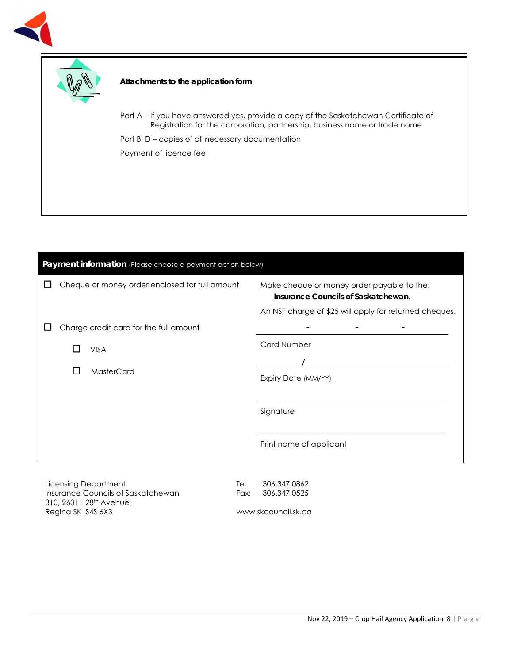



## **Attachments to the application form**

Part A – If you have answered yes, provide a copy of the Saskatchewan Certificate of Registration for the corporation, partnership, business name or trade name

Part B, D – copies of all necessary documentation Payment of licence fee

| Payment information (Please choose a payment option below) |                                                                                                                                             |  |  |
|------------------------------------------------------------|---------------------------------------------------------------------------------------------------------------------------------------------|--|--|
| Cheque or money order enclosed for full amount             | Make cheque or money order payable to the:<br>Insurance Councils of Saskatchewan.<br>An NSF charge of \$25 will apply for returned cheques. |  |  |
| Charge credit card for the full amount                     |                                                                                                                                             |  |  |
| <b>VISA</b>                                                | <b>Card Number</b>                                                                                                                          |  |  |
| MasterCard<br>$\mathbf{I}$                                 | Expiry Date (MM/YY)                                                                                                                         |  |  |
|                                                            | Signature                                                                                                                                   |  |  |
|                                                            | Print name of applicant                                                                                                                     |  |  |
|                                                            |                                                                                                                                             |  |  |

Licensing Department Insurance Councils of Saskatchewan 310, 2631 - 28th Avenue Regina SK S4S 6X3

Tel: 306.347.0862 Fax: 306.347.0525

www.skcouncil.sk.ca